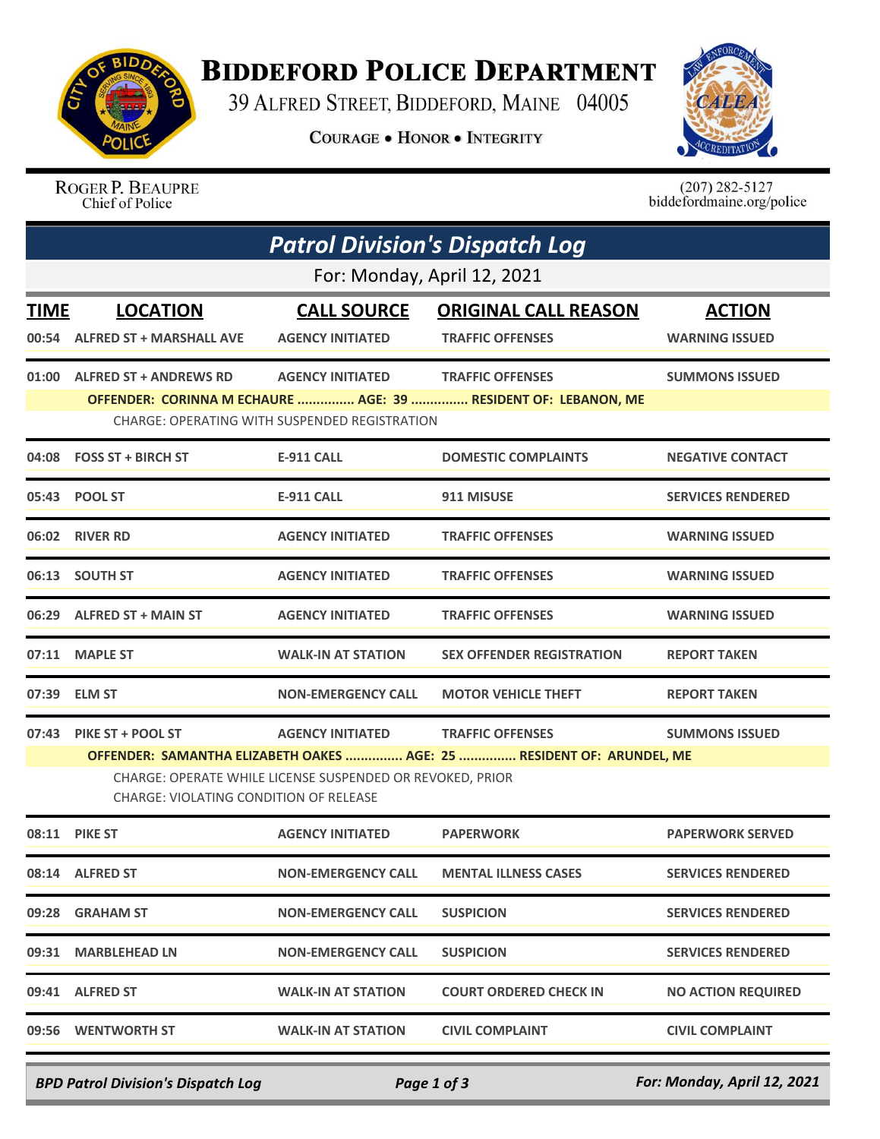

## **BIDDEFORD POLICE DEPARTMENT**

39 ALFRED STREET, BIDDEFORD, MAINE 04005

**COURAGE . HONOR . INTEGRITY** 



ROGER P. BEAUPRE Chief of Police

 $(207)$  282-5127<br>biddefordmaine.org/police

|                             | <b>Patrol Division's Dispatch Log</b>                                                                                                                                                                                                                                                  |                                                                          |                                                                                           |                                        |  |  |  |  |
|-----------------------------|----------------------------------------------------------------------------------------------------------------------------------------------------------------------------------------------------------------------------------------------------------------------------------------|--------------------------------------------------------------------------|-------------------------------------------------------------------------------------------|----------------------------------------|--|--|--|--|
| For: Monday, April 12, 2021 |                                                                                                                                                                                                                                                                                        |                                                                          |                                                                                           |                                        |  |  |  |  |
| <b>TIME</b>                 | <b>LOCATION</b><br>00:54 ALFRED ST + MARSHALL AVE                                                                                                                                                                                                                                      | <b>CALL SOURCE</b><br><b>AGENCY INITIATED</b>                            | <b>ORIGINAL CALL REASON</b><br><b>TRAFFIC OFFENSES</b>                                    | <b>ACTION</b><br><b>WARNING ISSUED</b> |  |  |  |  |
|                             | 01:00 ALFRED ST + ANDREWS RD                                                                                                                                                                                                                                                           | <b>AGENCY INITIATED</b><br>CHARGE: OPERATING WITH SUSPENDED REGISTRATION | <b>TRAFFIC OFFENSES</b><br>OFFENDER: CORINNA M ECHAURE  AGE: 39  RESIDENT OF: LEBANON, ME | <b>SUMMONS ISSUED</b>                  |  |  |  |  |
|                             | 04:08 FOSS ST + BIRCH ST                                                                                                                                                                                                                                                               | <b>E-911 CALL</b>                                                        | <b>DOMESTIC COMPLAINTS</b>                                                                | <b>NEGATIVE CONTACT</b>                |  |  |  |  |
|                             | 05:43 POOL ST                                                                                                                                                                                                                                                                          | <b>E-911 CALL</b>                                                        | 911 MISUSE                                                                                | <b>SERVICES RENDERED</b>               |  |  |  |  |
|                             | 06:02 RIVER RD                                                                                                                                                                                                                                                                         | <b>AGENCY INITIATED</b>                                                  | <b>TRAFFIC OFFENSES</b>                                                                   | <b>WARNING ISSUED</b>                  |  |  |  |  |
|                             | 06:13 SOUTH ST                                                                                                                                                                                                                                                                         | <b>AGENCY INITIATED</b>                                                  | <b>TRAFFIC OFFENSES</b>                                                                   | <b>WARNING ISSUED</b>                  |  |  |  |  |
|                             | 06:29 ALFRED ST + MAIN ST                                                                                                                                                                                                                                                              | <b>AGENCY INITIATED</b>                                                  | <b>TRAFFIC OFFENSES</b>                                                                   | <b>WARNING ISSUED</b>                  |  |  |  |  |
|                             | 07:11 MAPLE ST                                                                                                                                                                                                                                                                         | <b>WALK-IN AT STATION</b>                                                | <b>SEX OFFENDER REGISTRATION</b>                                                          | <b>REPORT TAKEN</b>                    |  |  |  |  |
|                             | 07:39 ELM ST                                                                                                                                                                                                                                                                           | <b>NON-EMERGENCY CALL</b>                                                | <b>MOTOR VEHICLE THEFT</b>                                                                | <b>REPORT TAKEN</b>                    |  |  |  |  |
|                             | 07:43 PIKE ST + POOL ST<br><b>AGENCY INITIATED</b><br><b>TRAFFIC OFFENSES</b><br><b>SUMMONS ISSUED</b><br>OFFENDER: SAMANTHA ELIZABETH OAKES  AGE: 25  RESIDENT OF: ARUNDEL, ME<br>CHARGE: OPERATE WHILE LICENSE SUSPENDED OR REVOKED, PRIOR<br>CHARGE: VIOLATING CONDITION OF RELEASE |                                                                          |                                                                                           |                                        |  |  |  |  |
|                             | 08:11 PIKE ST                                                                                                                                                                                                                                                                          | <b>AGENCY INITIATED</b>                                                  | <b>PAPERWORK</b>                                                                          | <b>PAPERWORK SERVED</b>                |  |  |  |  |
|                             | 08:14 ALFRED ST                                                                                                                                                                                                                                                                        | <b>NON-EMERGENCY CALL</b>                                                | <b>MENTAL ILLNESS CASES</b>                                                               | <b>SERVICES RENDERED</b>               |  |  |  |  |
|                             | 09:28 GRAHAM ST                                                                                                                                                                                                                                                                        | <b>NON-EMERGENCY CALL</b>                                                | <b>SUSPICION</b>                                                                          | <b>SERVICES RENDERED</b>               |  |  |  |  |
| 09:31                       | <b>MARBLEHEAD LN</b>                                                                                                                                                                                                                                                                   | <b>NON-EMERGENCY CALL</b>                                                | <b>SUSPICION</b>                                                                          | <b>SERVICES RENDERED</b>               |  |  |  |  |
|                             | 09:41 ALFRED ST                                                                                                                                                                                                                                                                        | <b>WALK-IN AT STATION</b>                                                | <b>COURT ORDERED CHECK IN</b>                                                             | <b>NO ACTION REQUIRED</b>              |  |  |  |  |
|                             | 09:56 WENTWORTH ST                                                                                                                                                                                                                                                                     | <b>WALK-IN AT STATION</b>                                                | <b>CIVIL COMPLAINT</b>                                                                    | <b>CIVIL COMPLAINT</b>                 |  |  |  |  |

*BPD Patrol Division's Dispatch Log Page 1 of 3 For: Monday, April 12, 2021*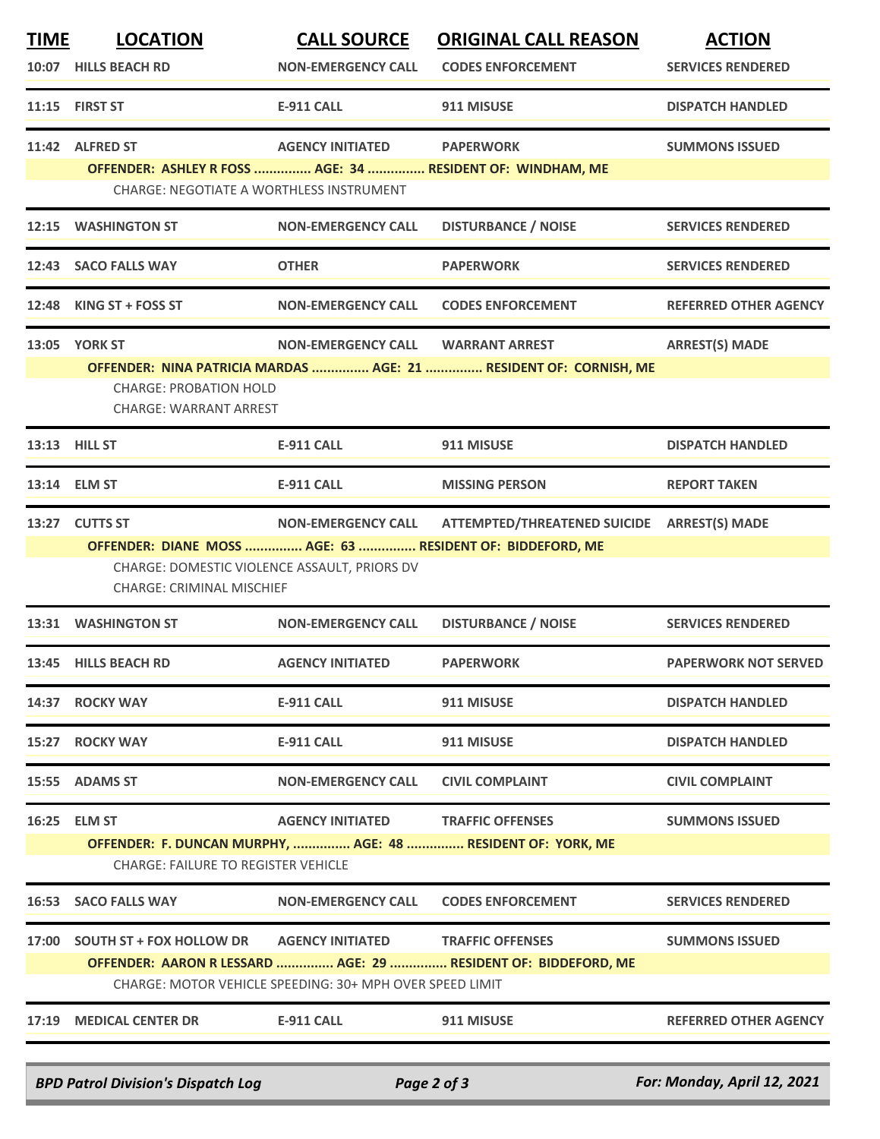| <b>TIME</b>                                                                                                                | <b>LOCATION</b>                                                                  | <b>CALL SOURCE</b>        | <b>ORIGINAL CALL REASON</b>                                       | <b>ACTION</b>                |  |  |  |
|----------------------------------------------------------------------------------------------------------------------------|----------------------------------------------------------------------------------|---------------------------|-------------------------------------------------------------------|------------------------------|--|--|--|
|                                                                                                                            | 10:07 HILLS BEACH RD                                                             | <b>NON-EMERGENCY CALL</b> | <b>CODES ENFORCEMENT</b>                                          | <b>SERVICES RENDERED</b>     |  |  |  |
|                                                                                                                            | 11:15 FIRST ST                                                                   | <b>E-911 CALL</b>         | 911 MISUSE                                                        | <b>DISPATCH HANDLED</b>      |  |  |  |
|                                                                                                                            | 11:42 ALFRED ST                                                                  | <b>AGENCY INITIATED</b>   | <b>PAPERWORK</b>                                                  | <b>SUMMONS ISSUED</b>        |  |  |  |
|                                                                                                                            | CHARGE: NEGOTIATE A WORTHLESS INSTRUMENT                                         |                           | OFFENDER: ASHLEY R FOSS  AGE: 34  RESIDENT OF: WINDHAM, ME        |                              |  |  |  |
| 12:15                                                                                                                      | <b>WASHINGTON ST</b>                                                             | <b>NON-EMERGENCY CALL</b> | <b>DISTURBANCE / NOISE</b>                                        | <b>SERVICES RENDERED</b>     |  |  |  |
|                                                                                                                            | 12:43 SACO FALLS WAY                                                             | <b>OTHER</b>              | <b>PAPERWORK</b>                                                  | <b>SERVICES RENDERED</b>     |  |  |  |
|                                                                                                                            | 12:48 KING ST + FOSS ST                                                          | <b>NON-EMERGENCY CALL</b> | <b>CODES ENFORCEMENT</b>                                          | <b>REFERRED OTHER AGENCY</b> |  |  |  |
|                                                                                                                            | <b>13:05 YORK ST</b>                                                             | <b>NON-EMERGENCY CALL</b> | <b>WARRANT ARREST</b>                                             | <b>ARREST(S) MADE</b>        |  |  |  |
|                                                                                                                            |                                                                                  |                           | OFFENDER: NINA PATRICIA MARDAS  AGE: 21  RESIDENT OF: CORNISH, ME |                              |  |  |  |
|                                                                                                                            | <b>CHARGE: PROBATION HOLD</b><br><b>CHARGE: WARRANT ARREST</b>                   |                           |                                                                   |                              |  |  |  |
|                                                                                                                            | 13:13 HILL ST                                                                    | <b>E-911 CALL</b>         | 911 MISUSE                                                        | <b>DISPATCH HANDLED</b>      |  |  |  |
|                                                                                                                            | 13:14 ELM ST                                                                     | <b>E-911 CALL</b>         | <b>MISSING PERSON</b>                                             | <b>REPORT TAKEN</b>          |  |  |  |
|                                                                                                                            | 13:27 CUTTS ST                                                                   | <b>NON-EMERGENCY CALL</b> | ATTEMPTED/THREATENED SUICIDE    ARREST(S) MADE                    |                              |  |  |  |
|                                                                                                                            |                                                                                  |                           | OFFENDER: DIANE MOSS  AGE: 63  RESIDENT OF: BIDDEFORD, ME         |                              |  |  |  |
|                                                                                                                            | CHARGE: DOMESTIC VIOLENCE ASSAULT, PRIORS DV<br><b>CHARGE: CRIMINAL MISCHIEF</b> |                           |                                                                   |                              |  |  |  |
|                                                                                                                            | 13:31 WASHINGTON ST                                                              | <b>NON-EMERGENCY CALL</b> | <b>DISTURBANCE / NOISE</b>                                        | <b>SERVICES RENDERED</b>     |  |  |  |
|                                                                                                                            | 13:45 HILLS BEACH RD                                                             | <b>AGENCY INITIATED</b>   | <b>PAPERWORK</b>                                                  | <b>PAPERWORK NOT SERVED</b>  |  |  |  |
|                                                                                                                            | 14:37 ROCKY WAY                                                                  | <b>E-911 CALL</b>         | 911 MISUSE                                                        | <b>DISPATCH HANDLED</b>      |  |  |  |
|                                                                                                                            | 15:27 ROCKY WAY                                                                  | <b>E-911 CALL</b>         | 911 MISUSE                                                        | <b>DISPATCH HANDLED</b>      |  |  |  |
|                                                                                                                            | 15:55 ADAMS ST                                                                   | <b>NON-EMERGENCY CALL</b> | <b>CIVIL COMPLAINT</b>                                            | <b>CIVIL COMPLAINT</b>       |  |  |  |
| 16:25                                                                                                                      | <b>ELM ST</b>                                                                    | <b>AGENCY INITIATED</b>   | <b>TRAFFIC OFFENSES</b>                                           | <b>SUMMONS ISSUED</b>        |  |  |  |
|                                                                                                                            |                                                                                  |                           | OFFENDER: F. DUNCAN MURPHY,  AGE: 48  RESIDENT OF: YORK, ME       |                              |  |  |  |
|                                                                                                                            | <b>CHARGE: FAILURE TO REGISTER VEHICLE</b>                                       |                           |                                                                   |                              |  |  |  |
| 16:53                                                                                                                      | <b>SACO FALLS WAY</b>                                                            | <b>NON-EMERGENCY CALL</b> | <b>CODES ENFORCEMENT</b>                                          | <b>SERVICES RENDERED</b>     |  |  |  |
|                                                                                                                            | 17:00 SOUTH ST + FOX HOLLOW DR                                                   | <b>AGENCY INITIATED</b>   | <b>TRAFFIC OFFENSES</b>                                           | <b>SUMMONS ISSUED</b>        |  |  |  |
| OFFENDER: AARON R LESSARD  AGE: 29  RESIDENT OF: BIDDEFORD, ME<br>CHARGE: MOTOR VEHICLE SPEEDING: 30+ MPH OVER SPEED LIMIT |                                                                                  |                           |                                                                   |                              |  |  |  |
|                                                                                                                            |                                                                                  |                           |                                                                   |                              |  |  |  |
| 17:19                                                                                                                      | <b>MEDICAL CENTER DR</b>                                                         | <b>E-911 CALL</b>         | 911 MISUSE                                                        | <b>REFERRED OTHER AGENCY</b> |  |  |  |
|                                                                                                                            |                                                                                  |                           |                                                                   |                              |  |  |  |
|                                                                                                                            | <b>BPD Patrol Division's Dispatch Log</b>                                        |                           | Page 2 of 3                                                       | For: Monday, April 12, 2021  |  |  |  |